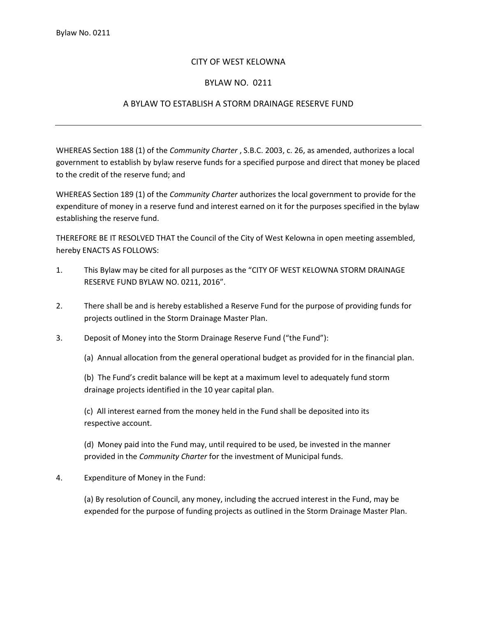## CITY OF WEST KELOWNA

## BYLAW NO. 0211

## A BYLAW TO ESTABLISH A STORM DRAINAGE RESERVE FUND

WHEREAS Section 188 (1) of the *Community Charter* , S.B.C. 2003, c. 26, as amended, authorizes a local government to establish by bylaw reserve funds for a specified purpose and direct that money be placed to the credit of the reserve fund; and

WHEREAS Section 189 (1) of the *Community Charter* authorizes the local government to provide for the expenditure of money in a reserve fund and interest earned on it for the purposes specified in the bylaw establishing the reserve fund.

THEREFORE BE IT RESOLVED THAT the Council of the City of West Kelowna in open meeting assembled, hereby ENACTS AS FOLLOWS:

- 1. This Bylaw may be cited for all purposes as the "CITY OF WEST KELOWNA STORM DRAINAGE RESERVE FUND BYLAW NO. 0211, 2016".
- 2. There shall be and is hereby established a Reserve Fund for the purpose of providing funds for projects outlined in the Storm Drainage Master Plan.
- 3. Deposit of Money into the Storm Drainage Reserve Fund ("the Fund"):

(a) Annual allocation from the general operational budget as provided for in the financial plan.

(b) The Fund's credit balance will be kept at a maximum level to adequately fund storm drainage projects identified in the 10 year capital plan.

(c) All interest earned from the money held in the Fund shall be deposited into its respective account.

(d) Money paid into the Fund may, until required to be used, be invested in the manner provided in the *Community Charter* for the investment of Municipal funds.

## 4. Expenditure of Money in the Fund:

(a) By resolution of Council, any money, including the accrued interest in the Fund, may be expended for the purpose of funding projects as outlined in the Storm Drainage Master Plan.